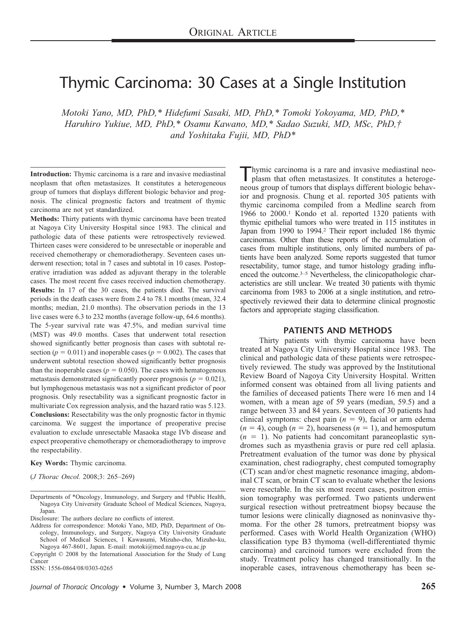# Thymic Carcinoma: 30 Cases at a Single Institution

*Motoki Yano, MD, PhD,\* Hidefumi Sasaki, MD, PhD,\* Tomoki Yokoyama, MD, PhD,\* Haruhiro Yukiue, MD, PhD,\* Osamu Kawano, MD,\* Sadao Suzuki, MD, MSc, PhD,† and Yoshitaka Fujii, MD, PhD\**

**Introduction:** Thymic carcinoma is a rare and invasive mediastinal neoplasm that often metastasizes. It constitutes a heterogeneous group of tumors that displays different biologic behavior and prognosis. The clinical prognostic factors and treatment of thymic carcinoma are not yet standardized.

**Methods:** Thirty patients with thymic carcinoma have been treated at Nagoya City University Hospital since 1983. The clinical and pathologic data of these patients were retrospectively reviewed. Thirteen cases were considered to be unresectable or inoperable and received chemotherapy or chemoradiotherapy. Seventeen cases underwent resection; total in 7 cases and subtotal in 10 cases. Postoperative irradiation was added as adjuvant therapy in the tolerable cases. The most recent five cases received induction chemotherapy. **Results:** In 17 of the 30 cases, the patients died. The survival periods in the death cases were from 2.4 to 78.1 months (mean, 32.4 months; median, 21.0 months). The observation periods in the 13 live cases were 6.3 to 232 months (average follow-up, 64.6 months). The 5-year survival rate was 47.5%, and median survival time (MST) was 49.0 months. Cases that underwent total resection showed significantly better prognosis than cases with subtotal resection ( $p = 0.011$ ) and inoperable cases ( $p = 0.002$ ). The cases that underwent subtotal resection showed significantly better prognosis than the inoperable cases ( $p = 0.050$ ). The cases with hematogenous metastasis demonstrated significantly poorer prognosis ( $p = 0.021$ ), but lymphogenous metastasis was not a significant predictor of poor prognosis. Only resectability was a significant prognostic factor in multivariate Cox regression analysis, and the hazard ratio was 5.123. **Conclusions:** Resectability was the only prognostic factor in thymic carcinoma. We suggest the importance of preoperative precise evaluation to exclude unresectable Masaoka stage IVb disease and expect preoperative chemotherapy or chemoradiotherapy to improve the respectability.

**Key Words:** Thymic carcinoma.

(*J Thorac Oncol.* 2008;3: 265–269)

Disclosure: The authors declare no conflicts of interest.

Address for correspondence: Motoki Yano, MD, PhD, Department of Oncology, Immunology, and Surgery, Nagoya City University Graduate School of Medical Sciences, 1 Kawasumi, Mizuho-cho, Mizuho-ku, Nagoya 467-8601, Japan. E-mail: motoki@med.nagoya-cu.ac.jp

Copyright © 2008 by the International Association for the Study of Lung Cancer

ISSN: 1556-0864/08/0303-0265

Thymic carcinoma is a rare and invasive mediastinal neoplasm that often metastasizes. It constitutes a heterogeneous group of tumors that displays different biologic behavior and prognosis. Chung et al. reported 305 patients with thymic carcinoma compiled from a Medline search from 1966 to 2000.1 Kondo et al. reported 1320 patients with thymic epithelial tumors who were treated in 115 institutes in Japan from 1990 to 1994.2 Their report included 186 thymic carcinomas. Other than these reports of the accumulation of cases from multiple institutions, only limited numbers of patients have been analyzed. Some reports suggested that tumor resectability, tumor stage, and tumor histology grading influenced the outcome.<sup>3–5</sup> Nevertheless, the clinicopathologic characteristics are still unclear. We treated 30 patients with thymic carcinoma from 1983 to 2006 at a single institution, and retrospectively reviewed their data to determine clinical prognostic factors and appropriate staging classification.

### **PATIENTS AND METHODS**

Thirty patients with thymic carcinoma have been treated at Nagoya City University Hospital since 1983. The clinical and pathologic data of these patients were retrospectively reviewed. The study was approved by the Institutional Review Board of Nagoya City University Hospital. Written informed consent was obtained from all living patients and the families of deceased patients There were 16 men and 14 women, with a mean age of 59 years (median, 59.5) and a range between 33 and 84 years. Seventeen of 30 patients had clinical symptoms: chest pain  $(n = 9)$ , facial or arm edema  $(n = 4)$ , cough  $(n = 2)$ , hoarseness  $(n = 1)$ , and hemosputum  $(n = 1)$ . No patients had concomitant paraneoplastic syndromes such as myasthenia gravis or pure red cell aplasia. Pretreatment evaluation of the tumor was done by physical examination, chest radiography, chest computed tomography (CT) scan and/or chest magnetic resonance imaging, abdominal CT scan, or brain CT scan to evaluate whether the lesions were resectable. In the six most recent cases, positron emission tomography was performed. Two patients underwent surgical resection without pretreatment biopsy because the tumor lesions were clinically diagnosed as noninvasive thymoma. For the other 28 tumors, pretreatment biopsy was performed. Cases with World Health Organization (WHO) classification type B3 thymoma (well-differentiated thymic carcinoma) and carcinoid tumors were excluded from the study. Treatment policy has changed transitionally. In the inoperable cases, intravenous chemotherapy has been se-

Departments of \*Oncology, Immunology, and Surgery and †Public Health, Nagoya City University Graduate School of Medical Sciences, Nagoya, Japan.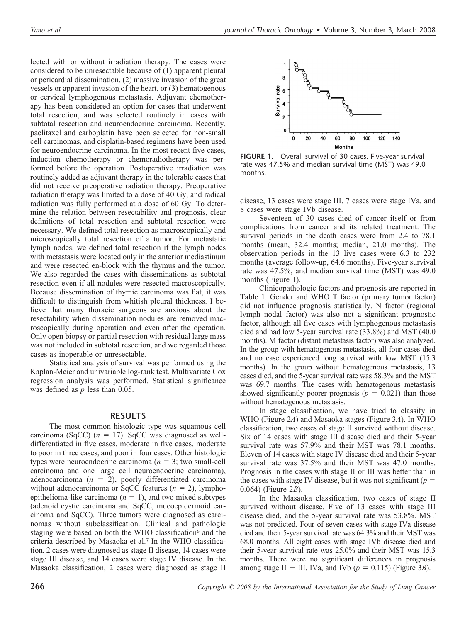lected with or without irradiation therapy. The cases were considered to be unresectable because of (1) apparent pleural or pericardial dissemination, (2) massive invasion of the great vessels or apparent invasion of the heart, or (3) hematogenous or cervical lymphogenous metastasis. Adjuvant chemotherapy has been considered an option for cases that underwent total resection, and was selected routinely in cases with subtotal resection and neuroendocrine carcinoma. Recently, paclitaxel and carboplatin have been selected for non-small cell carcinomas, and cisplatin-based regimens have been used for neuroendocrine carcinoma. In the most recent five cases, induction chemotherapy or chemoradiotherapy was performed before the operation. Postoperative irradiation was routinely added as adjuvant therapy in the tolerable cases that did not receive preoperative radiation therapy. Preoperative radiation therapy was limited to a dose of 40 Gy, and radical radiation was fully performed at a dose of 60 Gy. To determine the relation between resectability and prognosis, clear definitions of total resection and subtotal resection were necessary. We defined total resection as macroscopically and microscopically total resection of a tumor. For metastatic lymph nodes, we defined total resection if the lymph nodes with metastasis were located only in the anterior mediastinum and were resected en-block with the thymus and the tumor. We also regarded the cases with disseminations as subtotal resection even if all nodules were resected macroscopically. Because dissemination of thymic carcinoma was flat, it was difficult to distinguish from whitish pleural thickness. I believe that many thoracic surgeons are anxious about the resectability when dissemination nodules are removed macroscopically during operation and even after the operation. Only open biopsy or partial resection with residual large mass was not included in subtotal resection, and we regarded those cases as inoperable or unresectable.

Statistical analysis of survival was performed using the Kaplan-Meier and univariable log-rank test. Multivariate Cox regression analysis was performed. Statistical significance was defined as *p* less than 0.05.

#### **RESULTS**

The most common histologic type was squamous cell carcinoma (SqCC)  $(n = 17)$ . SqCC was diagnosed as welldifferentiated in five cases, moderate in five cases, moderate to poor in three cases, and poor in four cases. Other histologic types were neuroendocrine carcinoma ( $n = 3$ ; two small-cell carcinoma and one large cell neuroendocrine carcinoma), adenocarcinoma  $(n = 2)$ , poorly differentiated carcinoma without adenocarcinoma or SqCC features  $(n = 2)$ , lymphoepithelioma-like carcinoma  $(n = 1)$ , and two mixed subtypes (adenoid cystic carcinoma and SqCC, mucoepidermoid carcinoma and SqCC). Three tumors were diagnosed as carcinomas without subclassification. Clinical and pathologic staging were based on both the WHO classification<sup>6</sup> and the criteria described by Masaoka et al.7 In the WHO classification, 2 cases were diagnosed as stage II disease, 14 cases were stage III disease, and 14 cases were stage IV disease. In the Masaoka classification, 2 cases were diagnosed as stage II



**FIGURE 1.** Overall survival of 30 cases. Five-year survival rate was 47.5% and median survival time (MST) was 49.0 months.

disease, 13 cases were stage III, 7 cases were stage IVa, and 8 cases were stage IVb disease.

Seventeen of 30 cases died of cancer itself or from complications from cancer and its related treatment. The survival periods in the death cases were from 2.4 to 78.1 months (mean, 32.4 months; median, 21.0 months). The observation periods in the 13 live cases were 6.3 to 232 months (average follow-up, 64.6 months). Five-year survival rate was 47.5%, and median survival time (MST) was 49.0 months (Figure 1).

Clinicopathologic factors and prognosis are reported in Table 1. Gender and WHO T factor (primary tumor factor) did not influence prognosis statistically. N factor (regional lymph nodal factor) was also not a significant prognostic factor, although all five cases with lymphogenous metastasis died and had low 5-year survival rate (33.8%) and MST (40.0 months). M factor (distant metastasis factor) was also analyzed. In the group with hematogenous metastasis, all four cases died and no case experienced long survival with low MST (15.3 months). In the group without hematogenous metastasis, 13 cases died, and the 5-year survival rate was 58.3% and the MST was 69.7 months. The cases with hematogenous metastasis showed significantly poorer prognosis ( $p = 0.021$ ) than those without hematogenous metastasis.

In stage classification, we have tried to classify in WHO (Figure 2*A*) and Masaoka stages (Figure 3*A*). In WHO classification, two cases of stage II survived without disease. Six of 14 cases with stage III disease died and their 5-year survival rate was 57.9% and their MST was 78.1 months. Eleven of 14 cases with stage IV disease died and their 5-year survival rate was 37.5% and their MST was 47.0 months. Prognosis in the cases with stage II or III was better than in the cases with stage IV disease, but it was not significant  $(p =$ 0.064) (Figure 2*B*).

In the Masaoka classification, two cases of stage II survived without disease. Five of 13 cases with stage III disease died, and the 5-year survival rate was 53.8%. MST was not predicted. Four of seven cases with stage IVa disease died and their 5-year survival rate was 64.3% and their MST was 68.0 months. All eight cases with stage IVb disease died and their 5-year survival rate was 25.0% and their MST was 15.3 months. There were no significant differences in prognosis among stage II + III, IVa, and IVb  $(p = 0.115)$  (Figure 3*B*).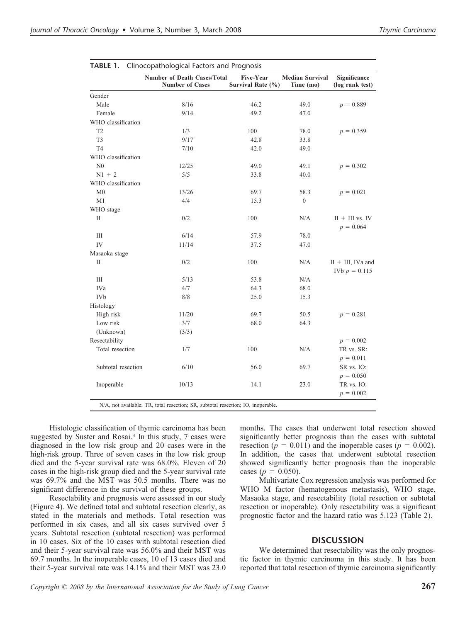|                    | <b>Number of Death Cases/Total</b><br><b>Number of Cases</b> | Five-Year<br>Survival Rate (%) | <b>Median Survival</b><br>Time (mo) | Significance<br>(log rank test)  |
|--------------------|--------------------------------------------------------------|--------------------------------|-------------------------------------|----------------------------------|
| Gender             |                                                              |                                |                                     |                                  |
| Male               | 8/16                                                         | 46.2                           | 49.0                                | $p = 0.889$                      |
| Female             | 9/14                                                         | 49.2                           | 47.0                                |                                  |
| WHO classification |                                                              |                                |                                     |                                  |
| T <sub>2</sub>     | 1/3                                                          | 100                            | 78.0                                | $p = 0.359$                      |
| T <sub>3</sub>     | 9/17                                                         | 42.8                           | 33.8                                |                                  |
| T <sub>4</sub>     | 7/10                                                         | 42.0                           | 49.0                                |                                  |
| WHO classification |                                                              |                                |                                     |                                  |
| N <sub>0</sub>     | 12/25                                                        | 49.0                           | 49.1                                | $p = 0.302$                      |
| $N1 + 2$           | 5/5                                                          | 33.8                           | 40.0                                |                                  |
| WHO classification |                                                              |                                |                                     |                                  |
| M <sub>0</sub>     | 13/26                                                        | 69.7                           | 58.3                                | $p = 0.021$                      |
| M1                 | 4/4                                                          | 15.3                           | $\mathbf{0}$                        |                                  |
| WHO stage          |                                                              |                                |                                     |                                  |
| П                  | 0/2                                                          | 100                            | N/A                                 | $II + III$ vs. IV<br>$p = 0.064$ |
| Ш                  | 6/14                                                         | 57.9                           | 78.0                                |                                  |
| IV                 | 11/14                                                        | 37.5                           | 47.0                                |                                  |
| Masaoka stage      |                                                              |                                |                                     |                                  |
| П                  | 0/2                                                          | 100                            | $\rm N/A$                           | $II + III$ , IVa and             |
|                    |                                                              |                                |                                     | IVb $p = 0.115$                  |
| Ш                  | 5/13                                                         | 53.8                           | N/A                                 |                                  |
| IVa                | 4/7                                                          | 64.3                           | 68.0                                |                                  |
| IVb                | 8/8                                                          | 25.0                           | 15.3                                |                                  |
| Histology          |                                                              |                                |                                     |                                  |
| High risk          | 11/20                                                        | 69.7                           | 50.5                                | $p = 0.281$                      |
| Low risk           | 3/7                                                          | 68.0                           | 64.3                                |                                  |
| (Unknown)          | (3/3)                                                        |                                |                                     |                                  |
| Resectability      |                                                              |                                |                                     | $p = 0.002$                      |
| Total resection    | 1/7                                                          | 100                            | N/A                                 | TR vs. SR:                       |
|                    |                                                              |                                |                                     | $p = 0.011$                      |
| Subtotal resection | 6/10                                                         | 56.0                           | 69.7                                | SR vs. IO:                       |
|                    |                                                              |                                |                                     | $p = 0.050$                      |
| Inoperable         | 10/13                                                        | 14.1                           | 23.0                                | TR vs. IO:                       |
|                    |                                                              |                                |                                     | $p = 0.002$                      |

| TABLE 1. | Clinocopathological Factors and Prognosis |  |  |
|----------|-------------------------------------------|--|--|
|          |                                           |  |  |

Histologic classification of thymic carcinoma has been suggested by Suster and Rosai.<sup>3</sup> In this study, 7 cases were diagnosed in the low risk group and 20 cases were in the high-risk group. Three of seven cases in the low risk group died and the 5-year survival rate was 68.0%. Eleven of 20 cases in the high-risk group died and the 5-year survival rate was 69.7% and the MST was 50.5 months. There was no significant difference in the survival of these groups.

Resectability and prognosis were assessed in our study (Figure 4). We defined total and subtotal resection clearly, as stated in the materials and methods. Total resection was performed in six cases, and all six cases survived over 5 years. Subtotal resection (subtotal resection) was performed in 10 cases. Six of the 10 cases with subtotal resection died and their 5-year survival rate was 56.0% and their MST was 69.7 months. In the inoperable cases, 10 of 13 cases died and their 5-year survival rate was 14.1% and their MST was 23.0 months. The cases that underwent total resection showed significantly better prognosis than the cases with subtotal resection ( $p = 0.011$ ) and the inoperable cases ( $p = 0.002$ ). In addition, the cases that underwent subtotal resection showed significantly better prognosis than the inoperable cases ( $p = 0.050$ ).

Multivariate Cox regression analysis was performed for WHO M factor (hematogenous metastasis), WHO stage, Masaoka stage, and resectability (total resection or subtotal resection or inoperable). Only resectability was a significant prognostic factor and the hazard ratio was 5.123 (Table 2).

## **DISCUSSION**

We determined that resectability was the only prognostic factor in thymic carcinoma in this study. It has been reported that total resection of thymic carcinoma significantly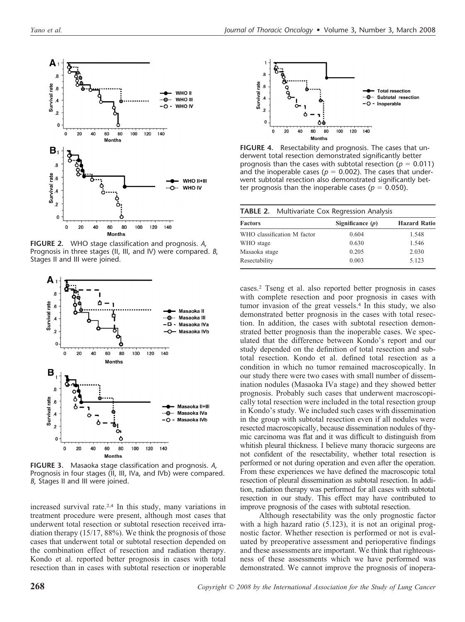

**FIGURE 2.** WHO stage classification and prognosis. *A*, Prognosis in three stages (II, III, and IV) were compared. *B*, Stages II and III were joined.



**FIGURE 3.** Masaoka stage classification and prognosis. *A*, Prognosis in four stages (II, III, IVa, and IVb) were compared. *B*, Stages II and III were joined.

increased survival rate.2,4 In this study, many variations in treatment procedure were present, although most cases that underwent total resection or subtotal resection received irradiation therapy (15/17, 88%). We think the prognosis of those cases that underwent total or subtotal resection depended on the combination effect of resection and radiation therapy. Kondo et al. reported better prognosis in cases with total resection than in cases with subtotal resection or inoperable



**FIGURE 4.** Resectability and prognosis. The cases that underwent total resection demonstrated significantly better prognosis than the cases with subtotal resection  $(p = 0.011)$ and the inoperable cases ( $p = 0.002$ ). The cases that underwent subtotal resection also demonstrated significantly better prognosis than the inoperable cases ( $p = 0.050$ ).

| <b>TABLE 2.</b> Multivariate Cox Regression Analysis |                    |                     |  |  |
|------------------------------------------------------|--------------------|---------------------|--|--|
| <b>Factors</b>                                       | Significance $(p)$ | <b>Hazard Ratio</b> |  |  |
| WHO classification M factor                          | 0.604              | 1.548               |  |  |
| WHO stage                                            | 0.630              | 1.546               |  |  |
| Masaoka stage                                        | 0.205              | 2.030               |  |  |
| Resectability                                        | 0.003              | 5.123               |  |  |

cases.2 Tseng et al. also reported better prognosis in cases with complete resection and poor prognosis in cases with tumor invasion of the great vessels.<sup>4</sup> In this study, we also demonstrated better prognosis in the cases with total resection. In addition, the cases with subtotal resection demonstrated better prognosis than the inoperable cases. We speculated that the difference between Kondo's report and our study depended on the definition of total resection and subtotal resection. Kondo et al. defined total resection as a condition in which no tumor remained macroscopically. In our study there were two cases with small number of dissemination nodules (Masaoka IVa stage) and they showed better prognosis. Probably such cases that underwent macroscopically total resection were included in the total resection group in Kondo's study. We included such cases with dissemination in the group with subtotal resection even if all nodules were resected macroscopically, because dissemination nodules of thymic carcinoma was flat and it was difficult to distinguish from whitish pleural thickness. I believe many thoracic surgeons are not confident of the resectability, whether total resection is performed or not during operation and even after the operation. From these experiences we have defined the macroscopic total resection of pleural dissemination as subtotal resection. In addition, radiation therapy was performed for all cases with subtotal resection in our study. This effect may have contributed to improve prognosis of the cases with subtotal resection.

Although resectability was the only prognostic factor with a high hazard ratio (5.123), it is not an original prognostic factor. Whether resection is performed or not is evaluated by preoperative assessment and perioperative findings and these assessments are important. We think that righteousness of these assessments which we have performed was demonstrated. We cannot improve the prognosis of inopera-